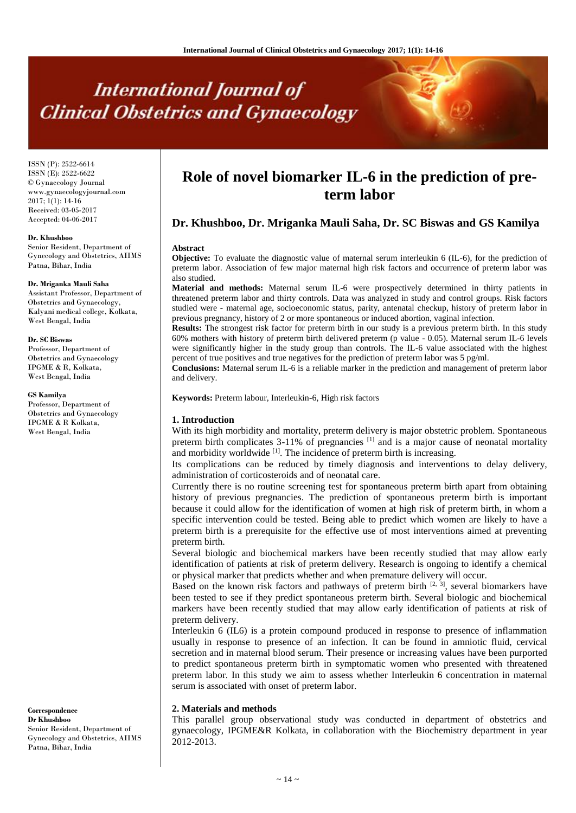# **International Journal of Clinical Obstetrics and Gynaecology**

ISSN (P): 2522-6614 ISSN (E): 2522-6622 © Gynaecology Journal www.gynaecologyjournal.com 2017; 1(1): 14-16 Received: 03-05-2017 Accepted: 04-06-2017

#### **Dr. Khushboo**

Senior Resident, Department of Gynecology and Obstetrics, AIIMS Patna, Bihar, India

#### **Dr. Mriganka Mauli Saha**

Assistant Professor, Department of Obstetrics and Gynaecology, Kalyani medical college, Kolkata, West Bengal, India

#### **Dr. SC Biswas**

Professor, Department of Obstetrics and Gynaecology IPGME & R, Kolkata, West Bengal, India

#### **GS Kamilya**

Professor, Department of Obstetrics and Gynaecology IPGME & R Kolkata, West Bengal, India

**Correspondence Dr Khushboo** Senior Resident, Department of Gynecology and Obstetrics, AIIMS Patna, Bihar, India

# **Role of novel biomarker IL-6 in the prediction of preterm labor**

# **Dr. Khushboo, Dr. Mriganka Mauli Saha, Dr. SC Biswas and GS Kamilya**

#### **Abstract**

**Objective:** To evaluate the diagnostic value of maternal serum interleukin 6 (IL-6), for the prediction of preterm labor. Association of few major maternal high risk factors and occurrence of preterm labor was also studied.

**Material and methods:** Maternal serum IL-6 were prospectively determined in thirty patients in threatened preterm labor and thirty controls. Data was analyzed in study and control groups. Risk factors studied were - maternal age, socioeconomic status, parity, antenatal checkup, history of preterm labor in previous pregnancy, history of 2 or more spontaneous or induced abortion, vaginal infection.

**Results:** The strongest risk factor for preterm birth in our study is a previous preterm birth. In this study 60% mothers with history of preterm birth delivered preterm (p value - 0.05). Maternal serum IL-6 levels were significantly higher in the study group than controls. The IL-6 value associated with the highest percent of true positives and true negatives for the prediction of preterm labor was 5 pg/ml.

**Conclusions:** Maternal serum IL-6 is a reliable marker in the prediction and management of preterm labor and delivery.

**Keywords:** Preterm labour, Interleukin-6, High risk factors

#### **1. Introduction**

With its high morbidity and mortality, preterm delivery is major obstetric problem. Spontaneous preterm birth complicates  $3-11\%$  of pregnancies  $^{[1]}$  and is a major cause of neonatal mortality and morbidity worldwide  $\left[1\right]$ . The incidence of preterm birth is increasing.

Its complications can be reduced by timely diagnosis and interventions to delay delivery, administration of corticosteroids and of neonatal care.

Currently there is no routine screening test for spontaneous preterm birth apart from obtaining history of previous pregnancies. The prediction of spontaneous preterm birth is important because it could allow for the identification of women at high risk of preterm birth, in whom a specific intervention could be tested. Being able to predict which women are likely to have a preterm birth is a prerequisite for the effective use of most interventions aimed at preventing preterm birth.

Several biologic and biochemical markers have been recently studied that may allow early identification of patients at risk of preterm delivery. Research is ongoing to identify a chemical or physical marker that predicts whether and when premature delivery will occur.

Based on the known risk factors and pathways of preterm birth  $[2, 3]$ , several biomarkers have been tested to see if they predict spontaneous preterm birth. Several biologic and biochemical markers have been recently studied that may allow early identification of patients at risk of preterm delivery.

Interleukin 6 (IL6) is a protein compound produced in response to presence of inflammation usually in response to presence of an infection. It can be found in amniotic fluid, cervical secretion and in maternal blood serum. Their presence or increasing values have been purported to predict spontaneous preterm birth in symptomatic women who presented with threatened preterm labor. In this study we aim to assess whether Interleukin 6 concentration in maternal serum is associated with onset of preterm labor.

#### **2. Materials and methods**

This parallel group observational study was conducted in department of obstetrics and gynaecology, IPGME&R Kolkata, in collaboration with the Biochemistry department in year 2012-2013.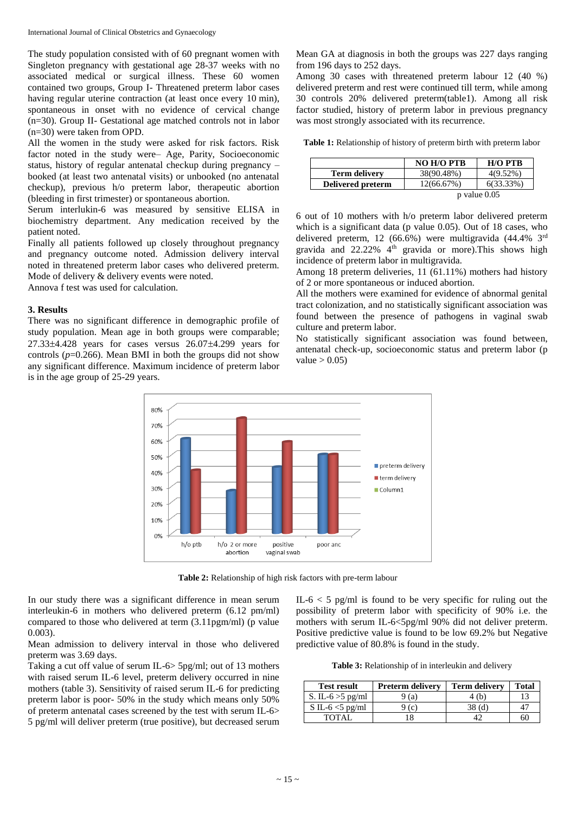The study population consisted with of 60 pregnant women with Singleton pregnancy with gestational age 28-37 weeks with no associated medical or surgical illness. These 60 women contained two groups, Group I- Threatened preterm labor cases having regular uterine contraction (at least once every 10 min), spontaneous in onset with no evidence of cervical change (n=30). Group II- Gestational age matched controls not in labor (n=30) were taken from OPD.

All the women in the study were asked for risk factors. Risk factor noted in the study were– Age, Parity, Socioeconomic status, history of regular antenatal checkup during pregnancy – booked (at least two antenatal visits) or unbooked (no antenatal checkup), previous h/o preterm labor, therapeutic abortion (bleeding in first trimester) or spontaneous abortion.

Serum interlukin-6 was measured by sensitive ELISA in biochemistry department. Any medication received by the patient noted.

Finally all patients followed up closely throughout pregnancy and pregnancy outcome noted. Admission delivery interval noted in threatened preterm labor cases who delivered preterm. Mode of delivery & delivery events were noted.

Annova f test was used for calculation.

#### **3. Results**

There was no significant difference in demographic profile of study population. Mean age in both groups were comparable;  $27.33\pm4.428$  years for cases versus  $26.07\pm4.299$  years for controls  $(p=0.266)$ . Mean BMI in both the groups did not show any significant difference. Maximum incidence of preterm labor is in the age group of 25-29 years.

Mean GA at diagnosis in both the groups was 227 days ranging from 196 days to 252 days.

Among 30 cases with threatened preterm labour 12 (40 %) delivered preterm and rest were continued till term, while among 30 controls 20% delivered preterm(table1). Among all risk factor studied, history of preterm labor in previous pregnancy was most strongly associated with its recurrence.

**Table 1:** Relationship of history of preterm birth with preterm labor

|                      | <b>NO H/O PTB</b> | $H/O$ $PTB$  |
|----------------------|-------------------|--------------|
| <b>Term delivery</b> | 38(90.48%)        | $4(9.52\%)$  |
| Delivered preterm    | 12(66.67%)        | $6(33.33\%)$ |
|                      | $p$ value $0.05$  |              |

6 out of 10 mothers with h/o preterm labor delivered preterm which is a significant data (p value 0.05). Out of 18 cases, who delivered preterm, 12 (66.6%) were multigravida (44.4% 3rd gravida and 22.22% 4<sup>th</sup> gravida or more). This shows high incidence of preterm labor in multigravida.

Among 18 preterm deliveries, 11 (61.11%) mothers had history of 2 or more spontaneous or induced abortion.

All the mothers were examined for evidence of abnormal genital tract colonization, and no statistically significant association was found between the presence of pathogens in vaginal swab culture and preterm labor.

No statistically significant association was found between, antenatal check-up, socioeconomic status and preterm labor (p value  $> 0.05$ )



**Table 2:** Relationship of high risk factors with pre-term labour

In our study there was a significant difference in mean serum interleukin-6 in mothers who delivered preterm (6.12 pm/ml) compared to those who delivered at term (3.11pgm/ml) (p value 0.003).

Mean admission to delivery interval in those who delivered preterm was 3.69 days.

Taking a cut off value of serum IL-6> 5pg/ml; out of 13 mothers with raised serum IL-6 level, preterm delivery occurred in nine mothers (table 3). Sensitivity of raised serum IL-6 for predicting preterm labor is poor- 50% in the study which means only 50% of preterm antenatal cases screened by the test with serum IL-6> 5 pg/ml will deliver preterm (true positive), but decreased serum IL- $6 < 5$  pg/ml is found to be very specific for ruling out the possibility of preterm labor with specificity of 90% i.e. the mothers with serum IL-6<5pg/ml 90% did not deliver preterm. Positive predictive value is found to be low 69.2% but Negative predictive value of 80.8% is found in the study.

**Table 3:** Relationship of in interleukin and delivery

| <b>Test result</b>  | <b>Preterm delivery</b> | <b>Term delivery</b> | <b>Total</b> |
|---------------------|-------------------------|----------------------|--------------|
| S. IL-6 $>$ 5 pg/ml | (a)                     | (h)                  |              |
| S IL-6 $<$ 5 pg/ml  | (c)                     | 38 (d)               |              |
| TOTAL.              |                         |                      | hU           |